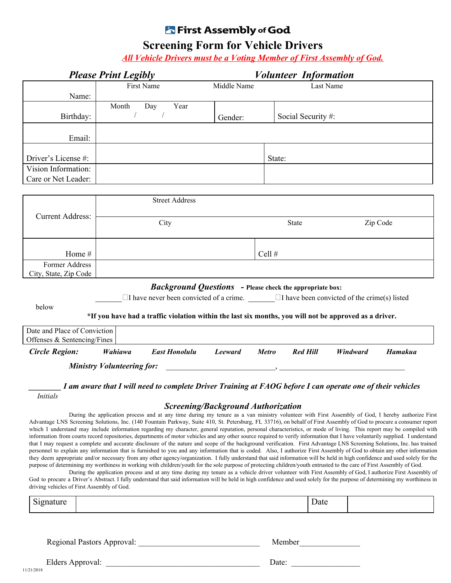## **K** First Assembly of God

## **Screening Form for Vehicle Drivers**

*All Vehicle Drivers must be a Voting Member of First Assembly of God.*

| <b>Please Print Legibly</b>                                 |                                   |                                                                                                            | <b>Volunteer Information</b>                                                                                                                                                         |              |                    |          |         |
|-------------------------------------------------------------|-----------------------------------|------------------------------------------------------------------------------------------------------------|--------------------------------------------------------------------------------------------------------------------------------------------------------------------------------------|--------------|--------------------|----------|---------|
|                                                             |                                   | First Name                                                                                                 | Middle Name                                                                                                                                                                          |              | Last Name          |          |         |
| Name:                                                       |                                   |                                                                                                            |                                                                                                                                                                                      |              |                    |          |         |
|                                                             | Month                             | Day<br>Year                                                                                                |                                                                                                                                                                                      |              |                    |          |         |
| Birthday:                                                   | $\sqrt{2}$                        | $\sqrt{2}$                                                                                                 | Gender:                                                                                                                                                                              |              | Social Security #: |          |         |
| Email:                                                      |                                   |                                                                                                            |                                                                                                                                                                                      |              |                    |          |         |
| Driver's License #:                                         |                                   |                                                                                                            |                                                                                                                                                                                      | State:       |                    |          |         |
| Vision Information:                                         |                                   |                                                                                                            |                                                                                                                                                                                      |              |                    |          |         |
| Care or Net Leader:                                         |                                   |                                                                                                            |                                                                                                                                                                                      |              |                    |          |         |
|                                                             |                                   |                                                                                                            |                                                                                                                                                                                      |              |                    |          |         |
|                                                             |                                   | <b>Street Address</b>                                                                                      |                                                                                                                                                                                      |              |                    |          |         |
| <b>Current Address:</b>                                     |                                   |                                                                                                            | <b>State</b>                                                                                                                                                                         |              |                    | Zip Code |         |
| Home #                                                      |                                   |                                                                                                            |                                                                                                                                                                                      | Cell #       |                    |          |         |
| Former Address                                              |                                   |                                                                                                            |                                                                                                                                                                                      |              |                    |          |         |
| City, State, Zip Code                                       |                                   |                                                                                                            |                                                                                                                                                                                      |              |                    |          |         |
|                                                             |                                   |                                                                                                            | <b>Background Questions</b> - Please check the appropriate box:                                                                                                                      |              |                    |          |         |
|                                                             |                                   | $\Box$ I have never been convicted of a crime. $\Box$ I have been convicted of the crime(s) listed         |                                                                                                                                                                                      |              |                    |          |         |
| below                                                       |                                   |                                                                                                            |                                                                                                                                                                                      |              |                    |          |         |
|                                                             |                                   | *If you have had a traffic violation within the last six months, you will not be approved as a driver.     |                                                                                                                                                                                      |              |                    |          |         |
| Date and Place of Conviction<br>Offenses & Sentencing/Fines |                                   |                                                                                                            |                                                                                                                                                                                      |              |                    |          |         |
| <b>Circle Region:</b>                                       | Wahiawa                           | <b>East Honolulu</b>                                                                                       | <b>Leeward</b>                                                                                                                                                                       | <b>Metro</b> | <b>Red Hill</b>    | Windward | Hamakua |
|                                                             | <b>Ministry Volunteering for:</b> |                                                                                                            | $\overline{\phantom{a}}$ , and the contract of the contract of $\overline{\phantom{a}}$ , and $\overline{\phantom{a}}$ , and $\overline{\phantom{a}}$ , and $\overline{\phantom{a}}$ |              |                    |          |         |
| <i>Initials</i>                                             |                                   | I am aware that I will need to complete Driver Training at FAOG before I can operate one of their vehicles |                                                                                                                                                                                      |              |                    |          |         |

*Screening/Background Authorization*

During the application process and at any time during my tenure as a van ministry volunteer with First Assembly of God, I hereby authorize First Advantage LNS Screening Solutions, Inc. (140 Fountain Parkway, Suite 410, St. Petersburg, FL 33716), on behalf of First Assembly of God to procure a consumer report which I understand may include information regarding my character, general reputation, personal characteristics, or mode of living. This report may be compiled with information from courts record repositories, departments of motor vehicles and any other source required to verify information that I have voluntarily supplied. I understand that I may request a complete and accurate disclosure of the nature and scope of the background verification. First Advantage LNS Screening Solutions, Inc. has trained personnel to explain any information that is furnished to you and any information that is coded. Also, I authorize First Assembly of God to obtain any other information they deem appropriate and/or necessary from any other agency/organization. I fully understand that said information will be held in high confidence and used solely for the purpose of determining my worthiness in working with children/youth for the sole purpose of protecting children/youth entrusted to the care of First Assembly of God.

During the application process and at any time during my tenure as a vehicle driver volunteer with First Assembly of God, I authorize First Assembly of God to procure a Driver's Abstract. I fully understand that said information will be held in high confidence and used solely for the purpose of determining my worthiness in driving vehicles of First Assembly of God.

| Signature                  |  |        | Date |  |
|----------------------------|--|--------|------|--|
|                            |  |        |      |  |
| Regional Pastors Approval: |  | Member |      |  |
| Elders Approval:           |  | Date:  |      |  |